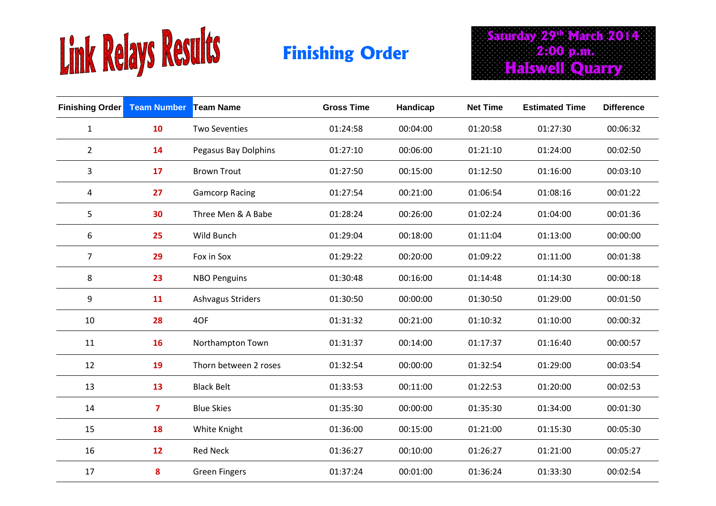

Saturday 29<sup>th</sup> March 2014  **2:00 p.m. Halswell Quarry Finishing Order** 

| Finishing Order Team Number Team Name |              |                       | <b>Gross Time</b> | Handicap | <b>Net Time</b> | <b>Estimated Time</b> | <b>Difference</b> |
|---------------------------------------|--------------|-----------------------|-------------------|----------|-----------------|-----------------------|-------------------|
| $\mathbf{1}$                          | 10           | <b>Two Seventies</b>  | 01:24:58          | 00:04:00 | 01:20:58        | 01:27:30              | 00:06:32          |
| $\overline{2}$                        | 14           | Pegasus Bay Dolphins  | 01:27:10          | 00:06:00 | 01:21:10        | 01:24:00              | 00:02:50          |
| $\mathbf{3}$                          | 17           | <b>Brown Trout</b>    | 01:27:50          | 00:15:00 | 01:12:50        | 01:16:00              | 00:03:10          |
| 4                                     | 27           | <b>Gamcorp Racing</b> | 01:27:54          | 00:21:00 | 01:06:54        | 01:08:16              | 00:01:22          |
| 5                                     | 30           | Three Men & A Babe    | 01:28:24          | 00:26:00 | 01:02:24        | 01:04:00              | 00:01:36          |
| 6                                     | 25           | Wild Bunch            | 01:29:04          | 00:18:00 | 01:11:04        | 01:13:00              | 00:00:00          |
| $\overline{7}$                        | 29           | Fox in Sox            | 01:29:22          | 00:20:00 | 01:09:22        | 01:11:00              | 00:01:38          |
| 8                                     | 23           | <b>NBO Penguins</b>   | 01:30:48          | 00:16:00 | 01:14:48        | 01:14:30              | 00:00:18          |
| 9                                     | 11           | Ashvagus Striders     | 01:30:50          | 00:00:00 | 01:30:50        | 01:29:00              | 00:01:50          |
| 10                                    | 28           | 4OF                   | 01:31:32          | 00:21:00 | 01:10:32        | 01:10:00              | 00:00:32          |
| 11                                    | 16           | Northampton Town      | 01:31:37          | 00:14:00 | 01:17:37        | 01:16:40              | 00:00:57          |
| 12                                    | 19           | Thorn between 2 roses | 01:32:54          | 00:00:00 | 01:32:54        | 01:29:00              | 00:03:54          |
| 13                                    | 13           | <b>Black Belt</b>     | 01:33:53          | 00:11:00 | 01:22:53        | 01:20:00              | 00:02:53          |
| 14                                    | $\mathbf{7}$ | <b>Blue Skies</b>     | 01:35:30          | 00:00:00 | 01:35:30        | 01:34:00              | 00:01:30          |
| 15                                    | 18           | White Knight          | 01:36:00          | 00:15:00 | 01:21:00        | 01:15:30              | 00:05:30          |
| 16                                    | 12           | <b>Red Neck</b>       | 01:36:27          | 00:10:00 | 01:26:27        | 01:21:00              | 00:05:27          |
| 17                                    | 8            | <b>Green Fingers</b>  | 01:37:24          | 00:01:00 | 01:36:24        | 01:33:30              | 00:02:54          |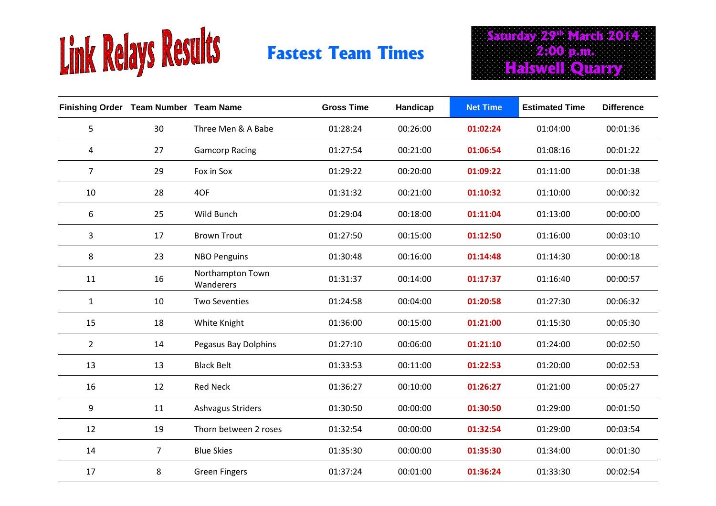

## **Fastest Team Times**

Saturday 29<sup>th</sup> March 2014  **2:00 p.m. Halswell Quarry**

| Finishing Order Team Number Team Name |                |                               | <b>Gross Time</b> | Handicap | <b>Net Time</b> | <b>Estimated Time</b> | <b>Difference</b> |
|---------------------------------------|----------------|-------------------------------|-------------------|----------|-----------------|-----------------------|-------------------|
| 5                                     | 30             | Three Men & A Babe            | 01:28:24          | 00:26:00 | 01:02:24        | 01:04:00              | 00:01:36          |
| 4                                     | 27             | <b>Gamcorp Racing</b>         | 01:27:54          | 00:21:00 | 01:06:54        | 01:08:16              | 00:01:22          |
| $\overline{7}$                        | 29             | Fox in Sox                    | 01:29:22          | 00:20:00 | 01:09:22        | 01:11:00              | 00:01:38          |
| 10                                    | 28             | 4OF                           | 01:31:32          | 00:21:00 | 01:10:32        | 01:10:00              | 00:00:32          |
| 6                                     | 25             | Wild Bunch                    | 01:29:04          | 00:18:00 | 01:11:04        | 01:13:00              | 00:00:00          |
| 3                                     | 17             | <b>Brown Trout</b>            | 01:27:50          | 00:15:00 | 01:12:50        | 01:16:00              | 00:03:10          |
| 8                                     | 23             | <b>NBO Penguins</b>           | 01:30:48          | 00:16:00 | 01:14:48        | 01:14:30              | 00:00:18          |
| 11                                    | 16             | Northampton Town<br>Wanderers | 01:31:37          | 00:14:00 | 01:17:37        | 01:16:40              | 00:00:57          |
| $\mathbf{1}$                          | 10             | <b>Two Seventies</b>          | 01:24:58          | 00:04:00 | 01:20:58        | 01:27:30              | 00:06:32          |
| 15                                    | 18             | White Knight                  | 01:36:00          | 00:15:00 | 01:21:00        | 01:15:30              | 00:05:30          |
| $\overline{2}$                        | 14             | Pegasus Bay Dolphins          | 01:27:10          | 00:06:00 | 01:21:10        | 01:24:00              | 00:02:50          |
| 13                                    | 13             | <b>Black Belt</b>             | 01:33:53          | 00:11:00 | 01:22:53        | 01:20:00              | 00:02:53          |
| 16                                    | 12             | <b>Red Neck</b>               | 01:36:27          | 00:10:00 | 01:26:27        | 01:21:00              | 00:05:27          |
| 9                                     | 11             | Ashvagus Striders             | 01:30:50          | 00:00:00 | 01:30:50        | 01:29:00              | 00:01:50          |
| 12                                    | 19             | Thorn between 2 roses         | 01:32:54          | 00:00:00 | 01:32:54        | 01:29:00              | 00:03:54          |
| 14                                    | $\overline{7}$ | <b>Blue Skies</b>             | 01:35:30          | 00:00:00 | 01:35:30        | 01:34:00              | 00:01:30          |
| 17                                    | 8              | <b>Green Fingers</b>          | 01:37:24          | 00:01:00 | 01:36:24        | 01:33:30              | 00:02:54          |